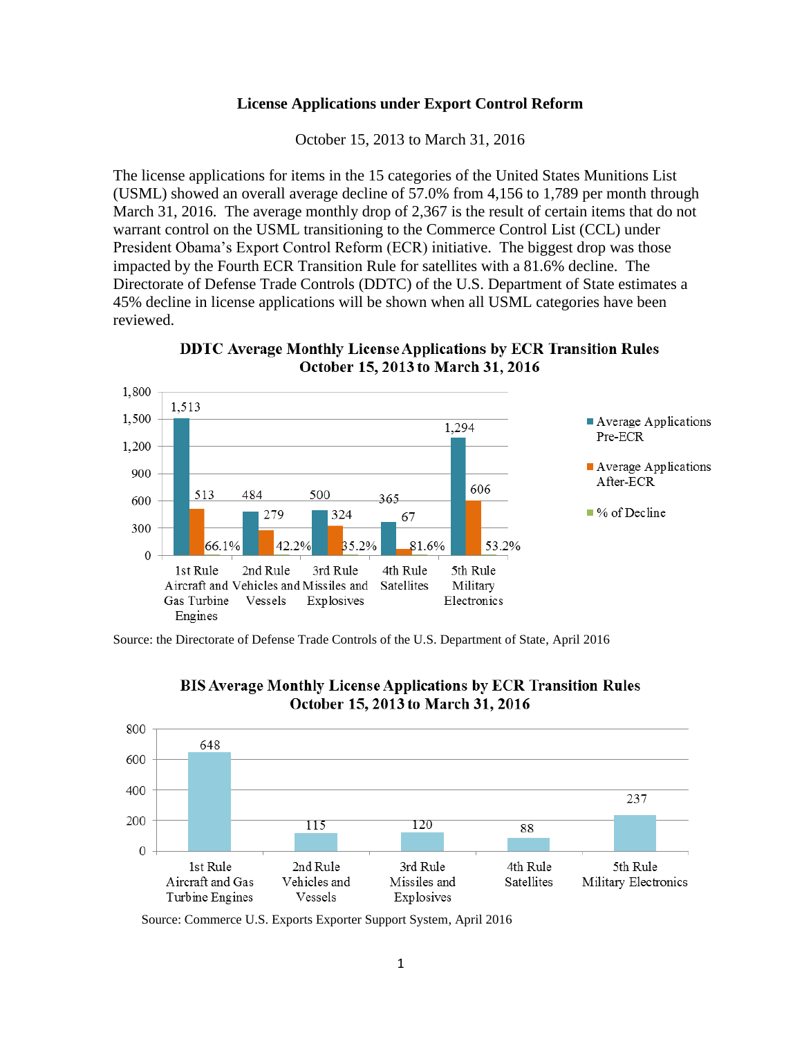## **License Applications under Export Control Reform**

October 15, 2013 to March 31, 2016

The license applications for items in the 15 categories of the United States Munitions List (USML) showed an overall average decline of 57.0% from 4,156 to 1,789 per month through March 31, 2016. The average monthly drop of 2,367 is the result of certain items that do not warrant control on the USML transitioning to the Commerce Control List (CCL) under President Obama's Export Control Reform (ECR) initiative. The biggest drop was those impacted by the Fourth ECR Transition Rule for satellites with a 81.6% decline. The Directorate of Defense Trade Controls (DDTC) of the U.S. Department of State estimates a 45% decline in license applications will be shown when all USML categories have been reviewed.

**DDTC Average Monthly License Applications by ECR Transition Rules** October 15, 2013 to March 31, 2016



Source: the Directorate of Defense Trade Controls of the U.S. Department of State, April 2016



**BIS Average Monthly License Applications by ECR Transition Rules** October 15, 2013 to March 31, 2016

Source: Commerce U.S. Exports Exporter Support System, April 2016